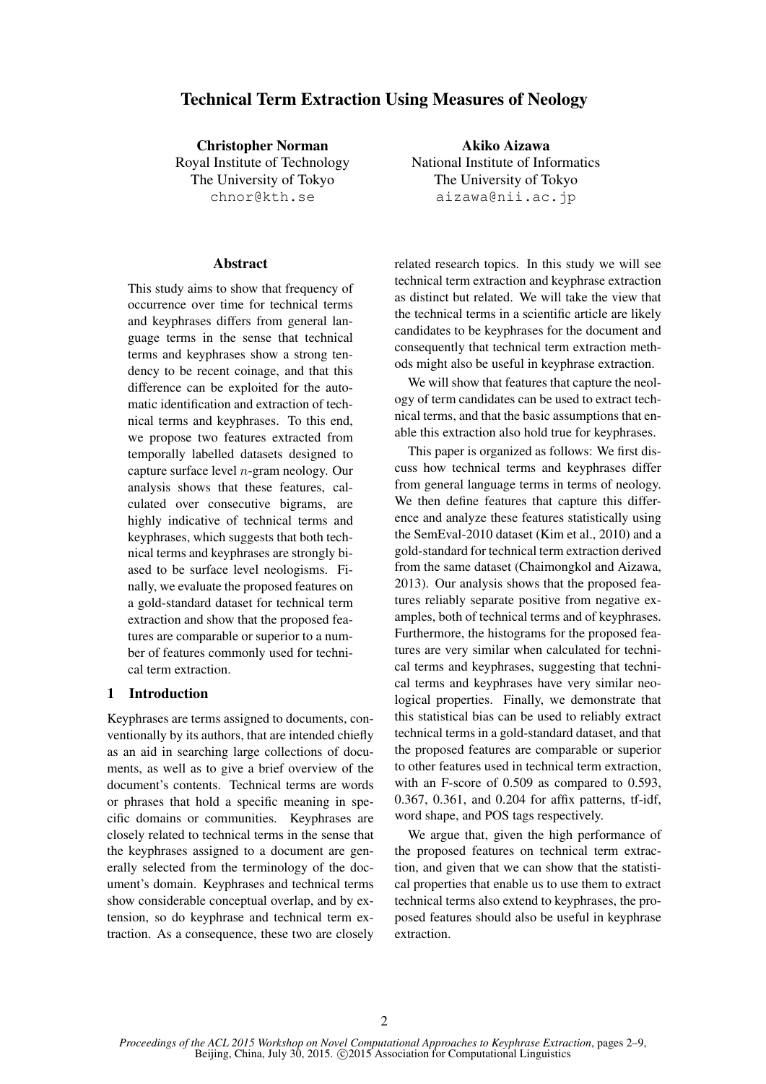# Technical Term Extraction Using Measures of Neology

Christopher Norman Royal Institute of Technology The University of Tokyo chnor@kth.se

### **Abstract**

This study aims to show that frequency of occurrence over time for technical terms and keyphrases differs from general language terms in the sense that technical terms and keyphrases show a strong tendency to be recent coinage, and that this difference can be exploited for the automatic identification and extraction of technical terms and keyphrases. To this end, we propose two features extracted from temporally labelled datasets designed to capture surface level n-gram neology. Our analysis shows that these features, calculated over consecutive bigrams, are highly indicative of technical terms and keyphrases, which suggests that both technical terms and keyphrases are strongly biased to be surface level neologisms. Finally, we evaluate the proposed features on a gold-standard dataset for technical term extraction and show that the proposed features are comparable or superior to a number of features commonly used for technical term extraction.

#### 1 Introduction

Keyphrases are terms assigned to documents, conventionally by its authors, that are intended chiefly as an aid in searching large collections of documents, as well as to give a brief overview of the document's contents. Technical terms are words or phrases that hold a specific meaning in specific domains or communities. Keyphrases are closely related to technical terms in the sense that the keyphrases assigned to a document are generally selected from the terminology of the document's domain. Keyphrases and technical terms show considerable conceptual overlap, and by extension, so do keyphrase and technical term extraction. As a consequence, these two are closely

Akiko Aizawa National Institute of Informatics The University of Tokyo aizawa@nii.ac.jp

related research topics. In this study we will see technical term extraction and keyphrase extraction as distinct but related. We will take the view that the technical terms in a scientific article are likely candidates to be keyphrases for the document and consequently that technical term extraction methods might also be useful in keyphrase extraction.

We will show that features that capture the neology of term candidates can be used to extract technical terms, and that the basic assumptions that enable this extraction also hold true for keyphrases.

This paper is organized as follows: We first discuss how technical terms and keyphrases differ from general language terms in terms of neology. We then define features that capture this difference and analyze these features statistically using the SemEval-2010 dataset (Kim et al., 2010) and a gold-standard for technical term extraction derived from the same dataset (Chaimongkol and Aizawa, 2013). Our analysis shows that the proposed features reliably separate positive from negative examples, both of technical terms and of keyphrases. Furthermore, the histograms for the proposed features are very similar when calculated for technical terms and keyphrases, suggesting that technical terms and keyphrases have very similar neological properties. Finally, we demonstrate that this statistical bias can be used to reliably extract technical terms in a gold-standard dataset, and that the proposed features are comparable or superior to other features used in technical term extraction, with an F-score of 0.509 as compared to 0.593. 0.367, 0.361, and 0.204 for affix patterns, tf-idf, word shape, and POS tags respectively.

We argue that, given the high performance of the proposed features on technical term extraction, and given that we can show that the statistical properties that enable us to use them to extract technical terms also extend to keyphrases, the proposed features should also be useful in keyphrase extraction.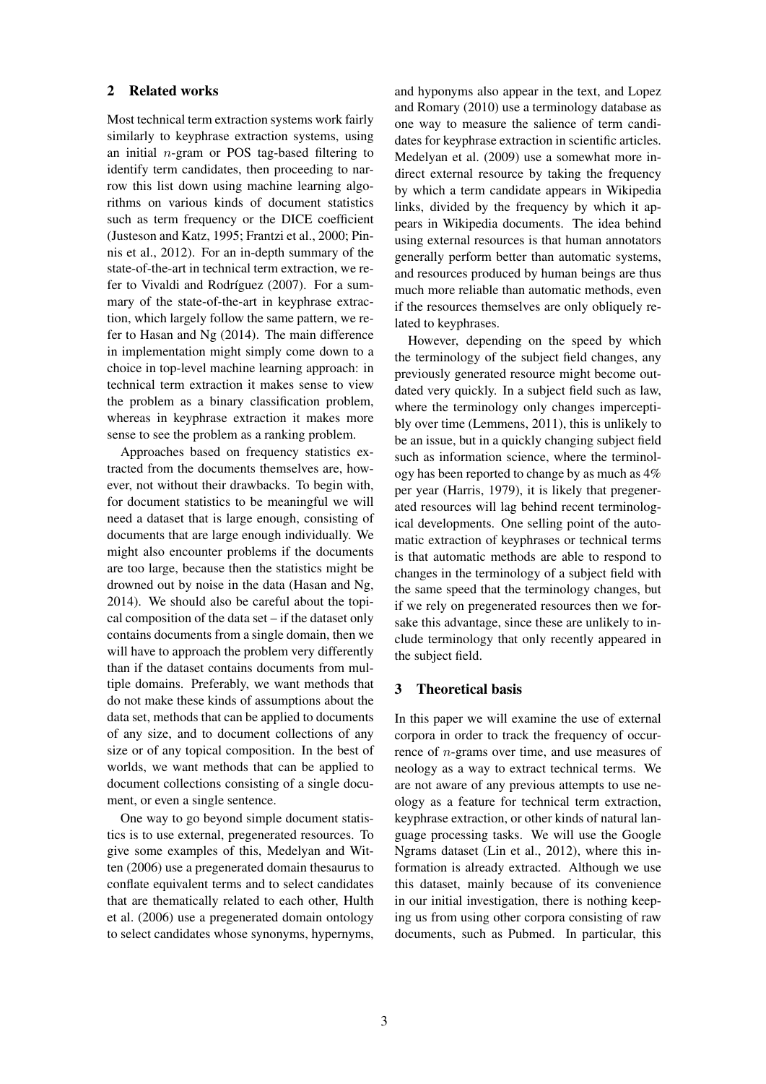## 2 Related works

Most technical term extraction systems work fairly similarly to keyphrase extraction systems, using an initial  $n$ -gram or POS tag-based filtering to identify term candidates, then proceeding to narrow this list down using machine learning algorithms on various kinds of document statistics such as term frequency or the DICE coefficient (Justeson and Katz, 1995; Frantzi et al., 2000; Pinnis et al., 2012). For an in-depth summary of the state-of-the-art in technical term extraction, we refer to Vivaldi and Rodríguez (2007). For a summary of the state-of-the-art in keyphrase extraction, which largely follow the same pattern, we refer to Hasan and Ng (2014). The main difference in implementation might simply come down to a choice in top-level machine learning approach: in technical term extraction it makes sense to view the problem as a binary classification problem, whereas in keyphrase extraction it makes more sense to see the problem as a ranking problem.

Approaches based on frequency statistics extracted from the documents themselves are, however, not without their drawbacks. To begin with, for document statistics to be meaningful we will need a dataset that is large enough, consisting of documents that are large enough individually. We might also encounter problems if the documents are too large, because then the statistics might be drowned out by noise in the data (Hasan and Ng, 2014). We should also be careful about the topical composition of the data set – if the dataset only contains documents from a single domain, then we will have to approach the problem very differently than if the dataset contains documents from multiple domains. Preferably, we want methods that do not make these kinds of assumptions about the data set, methods that can be applied to documents of any size, and to document collections of any size or of any topical composition. In the best of worlds, we want methods that can be applied to document collections consisting of a single document, or even a single sentence.

One way to go beyond simple document statistics is to use external, pregenerated resources. To give some examples of this, Medelyan and Witten (2006) use a pregenerated domain thesaurus to conflate equivalent terms and to select candidates that are thematically related to each other, Hulth et al. (2006) use a pregenerated domain ontology to select candidates whose synonyms, hypernyms, and hyponyms also appear in the text, and Lopez and Romary (2010) use a terminology database as one way to measure the salience of term candidates for keyphrase extraction in scientific articles. Medelyan et al. (2009) use a somewhat more indirect external resource by taking the frequency by which a term candidate appears in Wikipedia links, divided by the frequency by which it appears in Wikipedia documents. The idea behind using external resources is that human annotators generally perform better than automatic systems, and resources produced by human beings are thus much more reliable than automatic methods, even if the resources themselves are only obliquely related to keyphrases.

However, depending on the speed by which the terminology of the subject field changes, any previously generated resource might become outdated very quickly. In a subject field such as law, where the terminology only changes imperceptibly over time (Lemmens, 2011), this is unlikely to be an issue, but in a quickly changing subject field such as information science, where the terminology has been reported to change by as much as 4% per year (Harris, 1979), it is likely that pregenerated resources will lag behind recent terminological developments. One selling point of the automatic extraction of keyphrases or technical terms is that automatic methods are able to respond to changes in the terminology of a subject field with the same speed that the terminology changes, but if we rely on pregenerated resources then we forsake this advantage, since these are unlikely to include terminology that only recently appeared in the subject field.

### 3 Theoretical basis

In this paper we will examine the use of external corpora in order to track the frequency of occurrence of n-grams over time, and use measures of neology as a way to extract technical terms. We are not aware of any previous attempts to use neology as a feature for technical term extraction, keyphrase extraction, or other kinds of natural language processing tasks. We will use the Google Ngrams dataset (Lin et al., 2012), where this information is already extracted. Although we use this dataset, mainly because of its convenience in our initial investigation, there is nothing keeping us from using other corpora consisting of raw documents, such as Pubmed. In particular, this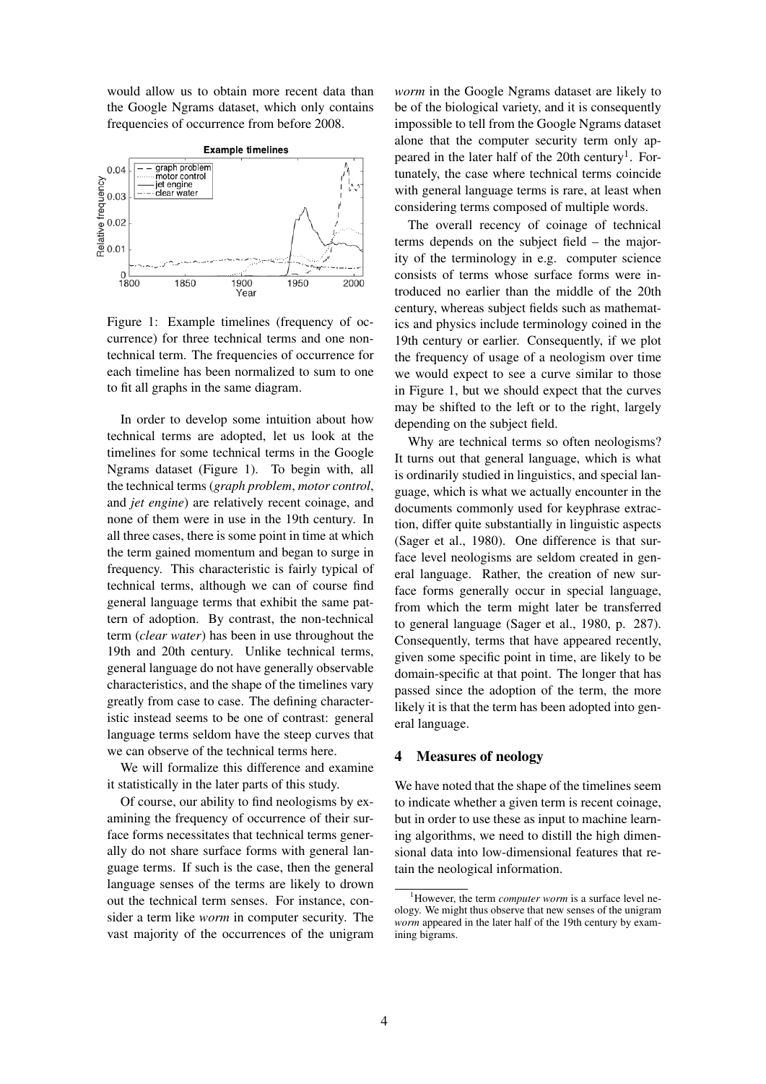would allow us to obtain more recent data than the Google Ngrams dataset, which only contains frequencies of occurrence from before 2008.



Figure 1: Example timelines (frequency of occurrence) for three technical terms and one nontechnical term. The frequencies of occurrence for each timeline has been normalized to sum to one to fit all graphs in the same diagram.

In order to develop some intuition about how technical terms are adopted, let us look at the timelines for some technical terms in the Google Ngrams dataset (Figure 1). To begin with, all the technical terms (*graph problem*, *motor control*, and *jet engine*) are relatively recent coinage, and none of them were in use in the 19th century. In all three cases, there is some point in time at which the term gained momentum and began to surge in frequency. This characteristic is fairly typical of technical terms, although we can of course find general language terms that exhibit the same pattern of adoption. By contrast, the non-technical term (*clear water*) has been in use throughout the 19th and 20th century. Unlike technical terms, general language do not have generally observable characteristics, and the shape of the timelines vary greatly from case to case. The defining characteristic instead seems to be one of contrast: general language terms seldom have the steep curves that we can observe of the technical terms here.

We will formalize this difference and examine it statistically in the later parts of this study.

Of course, our ability to find neologisms by examining the frequency of occurrence of their surface forms necessitates that technical terms generally do not share surface forms with general language terms. If such is the case, then the general language senses of the terms are likely to drown out the technical term senses. For instance, consider a term like *worm* in computer security. The vast majority of the occurrences of the unigram

*worm* in the Google Ngrams dataset are likely to be of the biological variety, and it is consequently impossible to tell from the Google Ngrams dataset alone that the computer security term only appeared in the later half of the 20th century<sup>1</sup>. Fortunately, the case where technical terms coincide with general language terms is rare, at least when considering terms composed of multiple words.

The overall recency of coinage of technical terms depends on the subject field – the majority of the terminology in e.g. computer science consists of terms whose surface forms were introduced no earlier than the middle of the 20th century, whereas subject fields such as mathematics and physics include terminology coined in the 19th century or earlier. Consequently, if we plot the frequency of usage of a neologism over time we would expect to see a curve similar to those in Figure 1, but we should expect that the curves may be shifted to the left or to the right, largely depending on the subject field.

Why are technical terms so often neologisms? It turns out that general language, which is what is ordinarily studied in linguistics, and special language, which is what we actually encounter in the documents commonly used for keyphrase extraction, differ quite substantially in linguistic aspects (Sager et al., 1980). One difference is that surface level neologisms are seldom created in general language. Rather, the creation of new surface forms generally occur in special language, from which the term might later be transferred to general language (Sager et al., 1980, p. 287). Consequently, terms that have appeared recently, given some specific point in time, are likely to be domain-specific at that point. The longer that has passed since the adoption of the term, the more likely it is that the term has been adopted into general language.

#### 4 Measures of neology

We have noted that the shape of the timelines seem to indicate whether a given term is recent coinage, but in order to use these as input to machine learning algorithms, we need to distill the high dimensional data into low-dimensional features that retain the neological information.

<sup>&</sup>lt;sup>1</sup>However, the term *computer worm* is a surface level neology. We might thus observe that new senses of the unigram *worm* appeared in the later half of the 19th century by examining bigrams.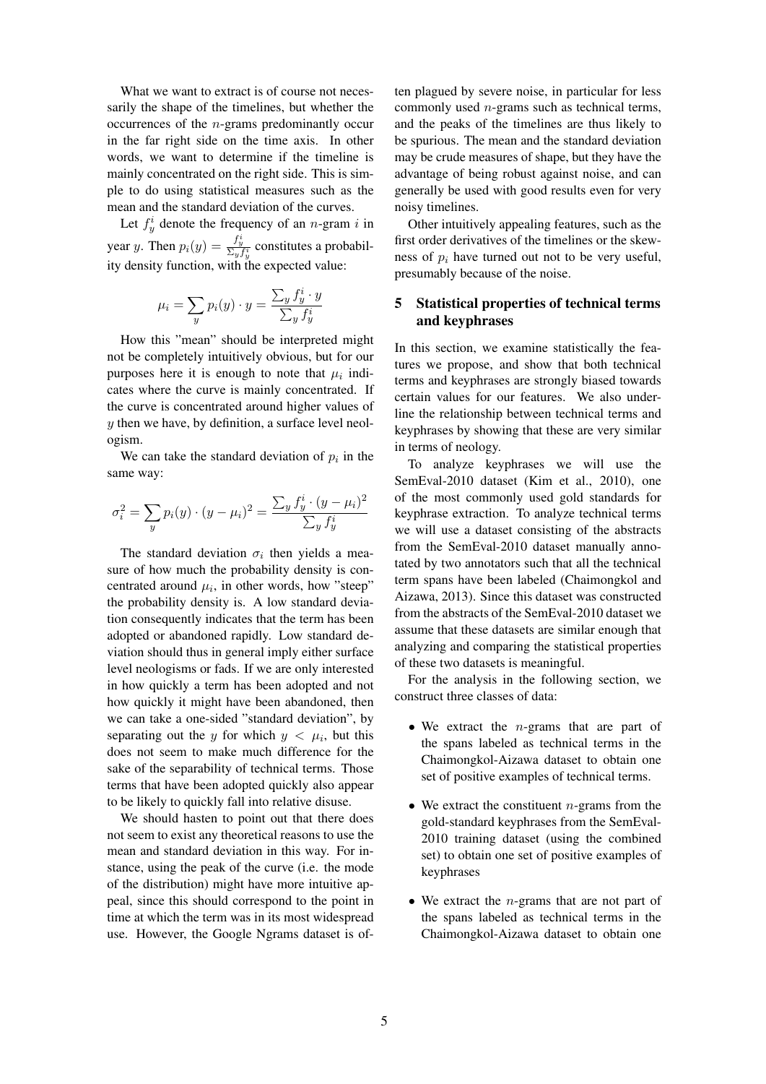What we want to extract is of course not necessarily the shape of the timelines, but whether the occurrences of the n-grams predominantly occur in the far right side on the time axis. In other words, we want to determine if the timeline is mainly concentrated on the right side. This is simple to do using statistical measures such as the mean and the standard deviation of the curves.

Let  $f_{y}^{i}$  denote the frequency of an *n*-gram *i* in year y. Then  $p_i(y) = \frac{f_y^i}{\Sigma_y f_y^i}$  constitutes a probability density function, with the expected value:

$$
\mu_i = \sum_y p_i(y) \cdot y = \frac{\sum_y f^i_y \cdot y}{\sum_y f^i_y}
$$

How this "mean" should be interpreted might not be completely intuitively obvious, but for our purposes here it is enough to note that  $\mu_i$  indicates where the curve is mainly concentrated. If the curve is concentrated around higher values of  $y$  then we have, by definition, a surface level neologism.

We can take the standard deviation of  $p_i$  in the same way:

$$
\sigma_i^2 = \sum_y p_i(y) \cdot (y - \mu_i)^2 = \frac{\sum_y f_y^i \cdot (y - \mu_i)^2}{\sum_y f_y^i}
$$

The standard deviation  $\sigma_i$  then yields a measure of how much the probability density is concentrated around  $\mu_i$ , in other words, how "steep" the probability density is. A low standard deviation consequently indicates that the term has been adopted or abandoned rapidly. Low standard deviation should thus in general imply either surface level neologisms or fads. If we are only interested in how quickly a term has been adopted and not how quickly it might have been abandoned, then we can take a one-sided "standard deviation", by separating out the y for which  $y < \mu_i$ , but this does not seem to make much difference for the sake of the separability of technical terms. Those terms that have been adopted quickly also appear to be likely to quickly fall into relative disuse.

We should hasten to point out that there does not seem to exist any theoretical reasons to use the mean and standard deviation in this way. For instance, using the peak of the curve (i.e. the mode of the distribution) might have more intuitive appeal, since this should correspond to the point in time at which the term was in its most widespread use. However, the Google Ngrams dataset is often plagued by severe noise, in particular for less commonly used n-grams such as technical terms, and the peaks of the timelines are thus likely to be spurious. The mean and the standard deviation may be crude measures of shape, but they have the advantage of being robust against noise, and can generally be used with good results even for very noisy timelines.

Other intuitively appealing features, such as the first order derivatives of the timelines or the skewness of  $p_i$  have turned out not to be very useful, presumably because of the noise.

### 5 Statistical properties of technical terms and keyphrases

In this section, we examine statistically the features we propose, and show that both technical terms and keyphrases are strongly biased towards certain values for our features. We also underline the relationship between technical terms and keyphrases by showing that these are very similar in terms of neology.

To analyze keyphrases we will use the SemEval-2010 dataset (Kim et al., 2010), one of the most commonly used gold standards for keyphrase extraction. To analyze technical terms we will use a dataset consisting of the abstracts from the SemEval-2010 dataset manually annotated by two annotators such that all the technical term spans have been labeled (Chaimongkol and Aizawa, 2013). Since this dataset was constructed from the abstracts of the SemEval-2010 dataset we assume that these datasets are similar enough that analyzing and comparing the statistical properties of these two datasets is meaningful.

For the analysis in the following section, we construct three classes of data:

- We extract the  $n$ -grams that are part of the spans labeled as technical terms in the Chaimongkol-Aizawa dataset to obtain one set of positive examples of technical terms.
- We extract the constituent  $n$ -grams from the gold-standard keyphrases from the SemEval-2010 training dataset (using the combined set) to obtain one set of positive examples of keyphrases
- We extract the  $n$ -grams that are not part of the spans labeled as technical terms in the Chaimongkol-Aizawa dataset to obtain one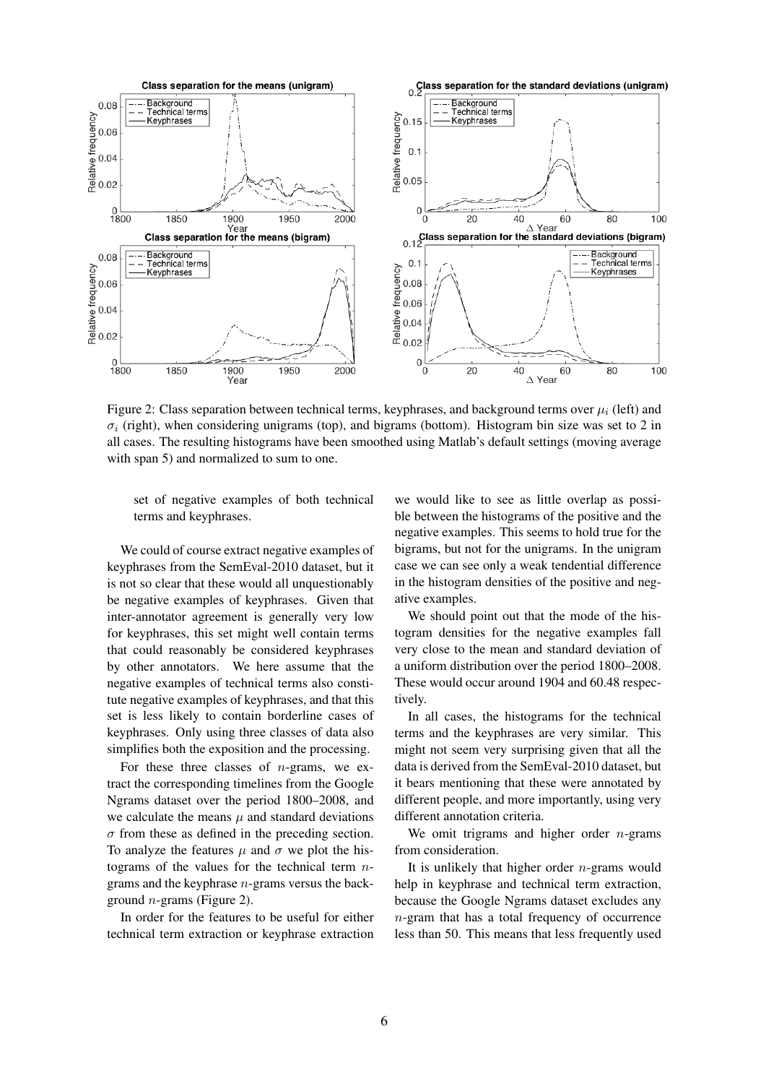

Figure 2: Class separation between technical terms, keyphrases, and background terms over  $\mu_i$  (left) and  $\sigma_i$  (right), when considering unigrams (top), and bigrams (bottom). Histogram bin size was set to 2 in all cases. The resulting histograms have been smoothed using Matlab's default settings (moving average with span 5) and normalized to sum to one.

set of negative examples of both technical terms and keyphrases.

We could of course extract negative examples of keyphrases from the SemEval-2010 dataset, but it is not so clear that these would all unquestionably be negative examples of keyphrases. Given that inter-annotator agreement is generally very low for keyphrases, this set might well contain terms that could reasonably be considered keyphrases by other annotators. We here assume that the negative examples of technical terms also constitute negative examples of keyphrases, and that this set is less likely to contain borderline cases of keyphrases. Only using three classes of data also simplifies both the exposition and the processing.

For these three classes of  $n$ -grams, we extract the corresponding timelines from the Google Ngrams dataset over the period 1800–2008, and we calculate the means  $\mu$  and standard deviations  $\sigma$  from these as defined in the preceding section. To analyze the features  $\mu$  and  $\sigma$  we plot the histograms of the values for the technical term  $n$ grams and the keyphrase n-grams versus the background  $n$ -grams (Figure 2).

In order for the features to be useful for either technical term extraction or keyphrase extraction

we would like to see as little overlap as possible between the histograms of the positive and the negative examples. This seems to hold true for the bigrams, but not for the unigrams. In the unigram case we can see only a weak tendential difference in the histogram densities of the positive and negative examples.

We should point out that the mode of the histogram densities for the negative examples fall very close to the mean and standard deviation of a uniform distribution over the period 1800–2008. These would occur around 1904 and 60.48 respectively.

In all cases, the histograms for the technical terms and the keyphrases are very similar. This might not seem very surprising given that all the data is derived from the SemEval-2010 dataset, but it bears mentioning that these were annotated by different people, and more importantly, using very different annotation criteria.

We omit trigrams and higher order  $n$ -grams from consideration.

It is unlikely that higher order  $n$ -grams would help in keyphrase and technical term extraction, because the Google Ngrams dataset excludes any n-gram that has a total frequency of occurrence less than 50. This means that less frequently used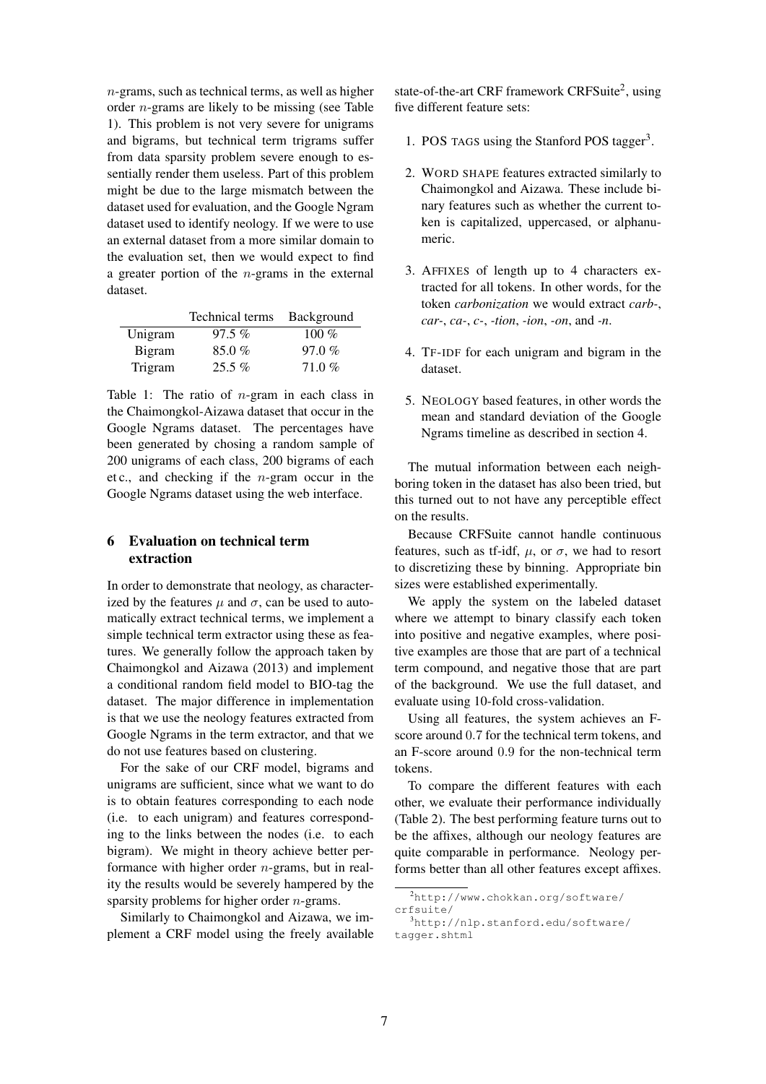$n$ -grams, such as technical terms, as well as higher order n-grams are likely to be missing (see Table 1). This problem is not very severe for unigrams and bigrams, but technical term trigrams suffer from data sparsity problem severe enough to essentially render them useless. Part of this problem might be due to the large mismatch between the dataset used for evaluation, and the Google Ngram dataset used to identify neology. If we were to use an external dataset from a more similar domain to the evaluation set, then we would expect to find a greater portion of the  $n$ -grams in the external dataset.

|         | Technical terms | Background |
|---------|-----------------|------------|
| Unigram | $97.5\%$        | 100 $%$    |
| Bigram  | 85.0%           | 97.0%      |
| Trigram | $25.5\%$        | 71.0%      |

Table 1: The ratio of  $n$ -gram in each class in the Chaimongkol-Aizawa dataset that occur in the Google Ngrams dataset. The percentages have been generated by chosing a random sample of 200 unigrams of each class, 200 bigrams of each et c., and checking if the  $n$ -gram occur in the Google Ngrams dataset using the web interface.

### 6 Evaluation on technical term extraction

In order to demonstrate that neology, as characterized by the features  $\mu$  and  $\sigma$ , can be used to automatically extract technical terms, we implement a simple technical term extractor using these as features. We generally follow the approach taken by Chaimongkol and Aizawa (2013) and implement a conditional random field model to BIO-tag the dataset. The major difference in implementation is that we use the neology features extracted from Google Ngrams in the term extractor, and that we do not use features based on clustering.

For the sake of our CRF model, bigrams and unigrams are sufficient, since what we want to do is to obtain features corresponding to each node (i.e. to each unigram) and features corresponding to the links between the nodes (i.e. to each bigram). We might in theory achieve better performance with higher order  $n$ -grams, but in reality the results would be severely hampered by the sparsity problems for higher order *n*-grams.

Similarly to Chaimongkol and Aizawa, we implement a CRF model using the freely available

state-of-the-art CRF framework CRFSuite<sup>2</sup>, using five different feature sets:

- 1. POS TAGS using the Stanford POS tagger<sup>3</sup>.
- 2. WORD SHAPE features extracted similarly to Chaimongkol and Aizawa. These include binary features such as whether the current token is capitalized, uppercased, or alphanumeric.
- 3. AFFIXES of length up to 4 characters extracted for all tokens. In other words, for the token *carbonization* we would extract *carb-*, *car-*, *ca-*, *c-*, *-tion*, *-ion*, *-on*, and *-n*.
- 4. TF-IDF for each unigram and bigram in the dataset.
- 5. NEOLOGY based features, in other words the mean and standard deviation of the Google Ngrams timeline as described in section 4.

The mutual information between each neighboring token in the dataset has also been tried, but this turned out to not have any perceptible effect on the results.

Because CRFSuite cannot handle continuous features, such as tf-idf,  $\mu$ , or  $\sigma$ , we had to resort to discretizing these by binning. Appropriate bin sizes were established experimentally.

We apply the system on the labeled dataset where we attempt to binary classify each token into positive and negative examples, where positive examples are those that are part of a technical term compound, and negative those that are part of the background. We use the full dataset, and evaluate using 10-fold cross-validation.

Using all features, the system achieves an Fscore around 0.7 for the technical term tokens, and an F-score around 0.9 for the non-technical term tokens.

To compare the different features with each other, we evaluate their performance individually (Table 2). The best performing feature turns out to be the affixes, although our neology features are quite comparable in performance. Neology performs better than all other features except affixes.

<sup>2</sup>http://www.chokkan.org/software/ crfsuite/

<sup>3</sup>http://nlp.stanford.edu/software/ tagger.shtml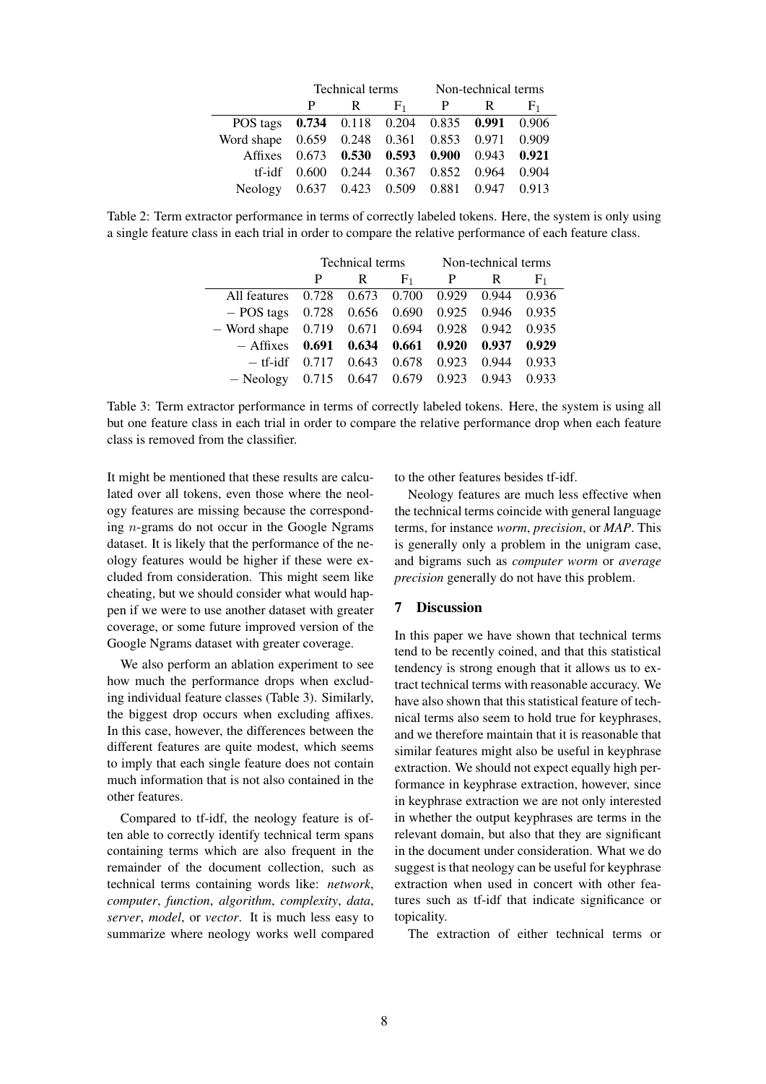|                                                |  |   |                                            | Technical terms Non-technical terms |           |       |
|------------------------------------------------|--|---|--------------------------------------------|-------------------------------------|-----------|-------|
|                                                |  | R |                                            |                                     | $F_1$ P R | $F_1$ |
| POS tags 0.734 0.118 0.204 0.835 0.991 0.906   |  |   |                                            |                                     |           |       |
| Word shape 0.659 0.248 0.361 0.853 0.971 0.909 |  |   |                                            |                                     |           |       |
| Affixes 0.673 0.530 0.593 0.900 0.943 0.921    |  |   |                                            |                                     |           |       |
|                                                |  |   | tf-idf 0.600 0.244 0.367 0.852 0.964 0.904 |                                     |           |       |
| Neology 0.637 0.423 0.509 0.881 0.947 0.913    |  |   |                                            |                                     |           |       |
|                                                |  |   |                                            |                                     |           |       |

Table 2: Term extractor performance in terms of correctly labeled tokens. Here, the system is only using a single feature class in each trial in order to compare the relative performance of each feature class.

|                                                        | Technical terms |                   | Non-technical terms     |       |       |                |
|--------------------------------------------------------|-----------------|-------------------|-------------------------|-------|-------|----------------|
|                                                        | P               | R                 | F <sub>1</sub>          | P     | R     | F <sub>1</sub> |
| All features                                           |                 | 0.728 0.673 0.700 |                         | 0.929 | 0.944 | 0.936          |
| $-$ POS tags 0.728 0.656 0.690 0.925                   |                 |                   |                         |       | 0.946 | 0.935          |
| $-$ Word shape $0.719$ $0.671$ $0.694$ $0.928$ $0.942$ |                 |                   |                         |       |       | 0.935          |
| $-$ Affixes                                            | 0.691           |                   | $0.634$ $0.661$         | 0.920 | 0.937 | 0.929          |
| $-$ tf-idf                                             | 0.717           |                   | $0.643$ 0.678           | 0.923 | 0.944 | 0.933          |
| $-$ Neology                                            | 0.715           |                   | $0.647$ $0.679$ $0.923$ |       | 0.943 | 0.933          |

Table 3: Term extractor performance in terms of correctly labeled tokens. Here, the system is using all but one feature class in each trial in order to compare the relative performance drop when each feature class is removed from the classifier.

It might be mentioned that these results are calculated over all tokens, even those where the neology features are missing because the corresponding n-grams do not occur in the Google Ngrams dataset. It is likely that the performance of the neology features would be higher if these were excluded from consideration. This might seem like cheating, but we should consider what would happen if we were to use another dataset with greater coverage, or some future improved version of the Google Ngrams dataset with greater coverage.

We also perform an ablation experiment to see how much the performance drops when excluding individual feature classes (Table 3). Similarly, the biggest drop occurs when excluding affixes. In this case, however, the differences between the different features are quite modest, which seems to imply that each single feature does not contain much information that is not also contained in the other features.

Compared to tf-idf, the neology feature is often able to correctly identify technical term spans containing terms which are also frequent in the remainder of the document collection, such as technical terms containing words like: *network*, *computer*, *function*, *algorithm*, *complexity*, *data*, *server*, *model*, or *vector*. It is much less easy to summarize where neology works well compared to the other features besides tf-idf.

Neology features are much less effective when the technical terms coincide with general language terms, for instance *worm*, *precision*, or *MAP*. This is generally only a problem in the unigram case, and bigrams such as *computer worm* or *average precision* generally do not have this problem.

### 7 Discussion

In this paper we have shown that technical terms tend to be recently coined, and that this statistical tendency is strong enough that it allows us to extract technical terms with reasonable accuracy. We have also shown that this statistical feature of technical terms also seem to hold true for keyphrases, and we therefore maintain that it is reasonable that similar features might also be useful in keyphrase extraction. We should not expect equally high performance in keyphrase extraction, however, since in keyphrase extraction we are not only interested in whether the output keyphrases are terms in the relevant domain, but also that they are significant in the document under consideration. What we do suggest is that neology can be useful for keyphrase extraction when used in concert with other features such as tf-idf that indicate significance or topicality.

The extraction of either technical terms or